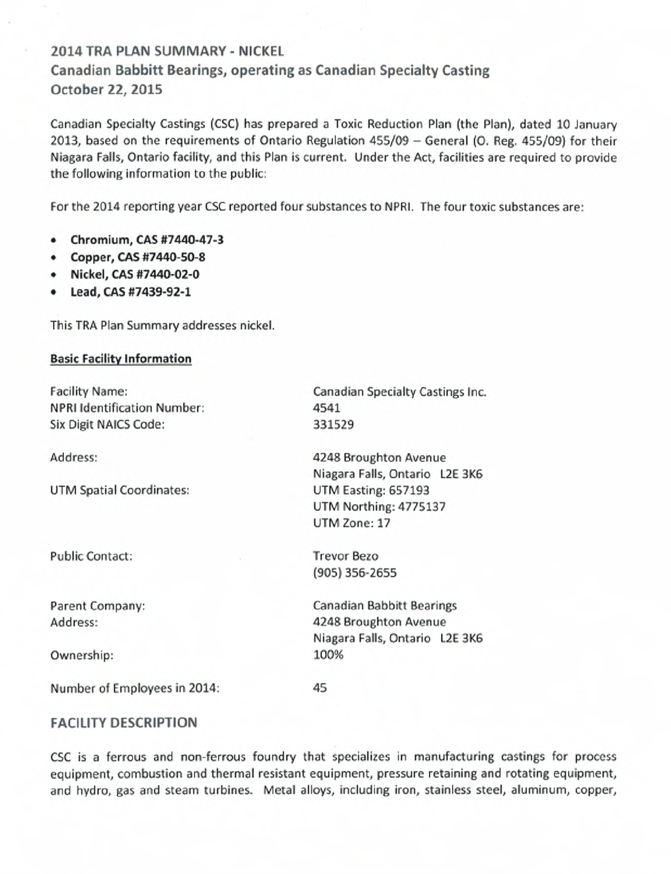# **2014 TRA PLAN SUMMARY - NICKEL Canadian Babbitt Bearings, operating as Canadian Specialty Casting October 22, 2015**

Canadian Specialty Castings (CSC) has prepared a Toxic Reduction Plan (the Plan), dated 10 January 2013, based on the requirements of Ontario Regulation 455/09 - General (0. Reg. 455/09) for their Niagara Falls, Ontario facility, and this Plan is current. Under the Act, facilities are required to provide the following information to the public:

For the 2014 reporting year CSC reported four substances to NPRI. The four toxic substances are:

- **Chromium, CAS #7440-47-3**
- Copper, CAS #7440-50-8
- Nickel, **CAS #7440-02-0**
- **Lead, CAS #7439-92-1**

This TRA Plan Summary addresses nickel.

#### **Basic Facility Information**

| <b>Facility Name:</b>              | Canadian Specialty Castings Inc. |  |  |
|------------------------------------|----------------------------------|--|--|
| <b>NPRI Identification Number:</b> | 4541                             |  |  |
| Six Digit NAICS Code:              | 331529                           |  |  |
| Address:                           | 4248 Broughton Avenue            |  |  |
|                                    | Niagara Falls, Ontario L2E 3K6   |  |  |
| UTM Spatial Coordinates:           | UTM Easting: 657193              |  |  |
|                                    | UTM Northing: 4775137            |  |  |
|                                    | UTM Zone: 17                     |  |  |
| <b>Public Contact:</b>             | <b>Trevor Bezo</b>               |  |  |
|                                    | (905) 356-2655                   |  |  |
| Parent Company:                    | <b>Canadian Babbitt Bearings</b> |  |  |
| Address:                           | 4248 Broughton Avenue            |  |  |
|                                    | Niagara Falls, Ontario L2E 3K6   |  |  |
| Ownership:                         | 100%                             |  |  |
|                                    |                                  |  |  |

### **FACILITY DESCRIPTION**

Number of Employees in 2014:

CSC is a ferrous and non-ferrous foundry that specializes in manufacturing castings for process equipment, combustion and thermal resistant equipment, pressure retaining and rotating equipment, and hydro, gas and steam turbines. Metal alloys, including iron, stainless steel, aluminum, copper,

45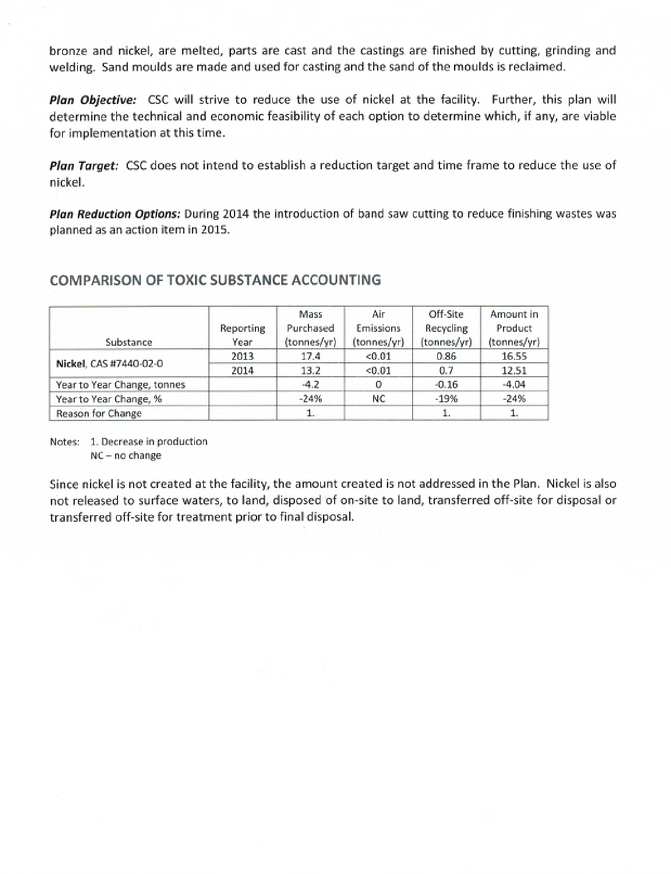Plan Objective: CSC will strive to reduce the use of nickel at the facility. Further, this plan will determine the technical and economic feasibility of each option to determine which, if any, are viable for implementation at this time.

**Plan Target:** CSC does not intend to establish a reduction target and time frame to reduce the use of nickel.

Plan Reduction Options: During 2014 the introduction of band saw cutting to reduce finishing wastes was planned as an action item in 2015.

## **COMPARISON OF TOXIC SUBSTANCE ACCOUNTING**

| Substance                   | Reporting<br>Year | Mass<br>Purchased<br>(tonnes/yr) | Air<br>Emissions<br>(tonnes/yr) | Off-Site<br>Recycling<br>(tonnes/yr) | Amount in<br>Product<br>(tonnes/yr) |
|-----------------------------|-------------------|----------------------------------|---------------------------------|--------------------------------------|-------------------------------------|
| Nickel, CAS #7440-02-0      | 2013              | 17.4                             | < 0.01                          | 0.86                                 | 16.55                               |
|                             | 2014              | 13.2                             | < 0.01                          | 0.7                                  | 12.51                               |
| Year to Year Change, tonnes |                   | $-4.2$                           |                                 | $-0.16$                              | $-4.04$                             |
| Year to Year Change, %      |                   | $-24%$                           | NC                              | $-19%$                               | $-24%$                              |
| Reason for Change           |                   | 1.                               |                                 | 1.                                   | 1.                                  |

Notes: 1. Decrease in production NC - no change

Since nickel is not created at the facility, the amount created is not addressed in the Plan. Nickel is also not released to surface waters, to land, disposed of on-site to land, transferred off-site for disposal or transferred off-site for treatment prior to final disposal.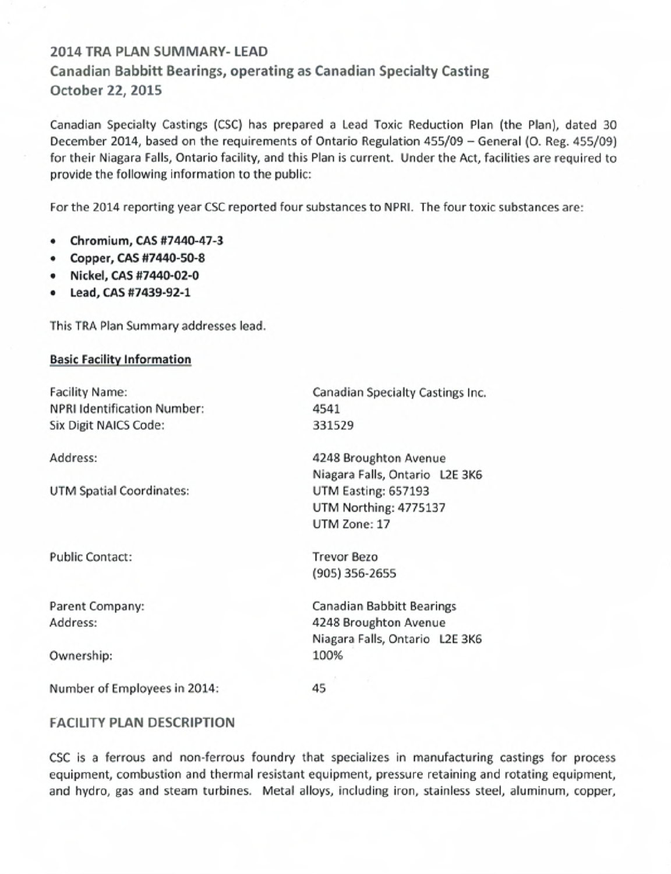# **2014 TRA PLAN SUMMARY- LEAD Canadian Babbitt Bearings, operating as Canadian Specialty Casting October 22, 2015**

Canadian Specialty Castings (CSC) has prepared a Lead Toxic Reduction Plan (the Plan), dated 30 December 2014, based on the requirements of Ontario Regulation 455/09 - General (0. Reg. 455/09) for their Niagara Falls, Ontario facility, and this Plan is current. Under the Act, facilities are required to provide the following information to the public:

For the 2014 reporting year CSC reported four substances to NPRI. The four toxic substances are:

- **Chromium, CAS #7440-47-3**
- Copper, CAS #7440-50-8
- Nickel, CAS #7440-02-0
- Lead, **CAS #7439-92-1**

This IRA Plan Summary addresses lead.

### **Basic Facility Information**

| <b>Facility Name:</b>              | Canadian Specialty Castings Inc. |  |  |  |  |
|------------------------------------|----------------------------------|--|--|--|--|
| <b>NPRI Identification Number:</b> | 4541                             |  |  |  |  |
| Six Digit NAICS Code:              | 331529                           |  |  |  |  |
| Address:                           | 4248 Broughton Avenue            |  |  |  |  |
|                                    | Niagara Falls, Ontario L2E 3K6   |  |  |  |  |
| UTM Spatial Coordinates:           | UTM Easting: 657193              |  |  |  |  |
|                                    | UTM Northing: 4775137            |  |  |  |  |
|                                    | UTM Zone: 17                     |  |  |  |  |
| <b>Public Contact:</b>             | <b>Trevor Bezo</b>               |  |  |  |  |
|                                    | (905) 356-2655                   |  |  |  |  |
| Parent Company:                    | Canadian Babbitt Bearings        |  |  |  |  |
| Address:                           | 4248 Broughton Avenue            |  |  |  |  |
|                                    | Niagara Falls, Ontario L2E 3K6   |  |  |  |  |
| Ownership:                         | 100%                             |  |  |  |  |
| Number of Employees in 2014:       | 45                               |  |  |  |  |
|                                    |                                  |  |  |  |  |

### **FACILITY PLAN DESCRIPTION**

CSC is a ferrous and non-ferrous foundry that specializes in manufacturing castings for process equipment, combustion and thermal resistant equipment, pressure retaining and rotating equipment, and hydro, gas and steam turbines. Metal alloys, including iron, stainless steel, aluminum, copper,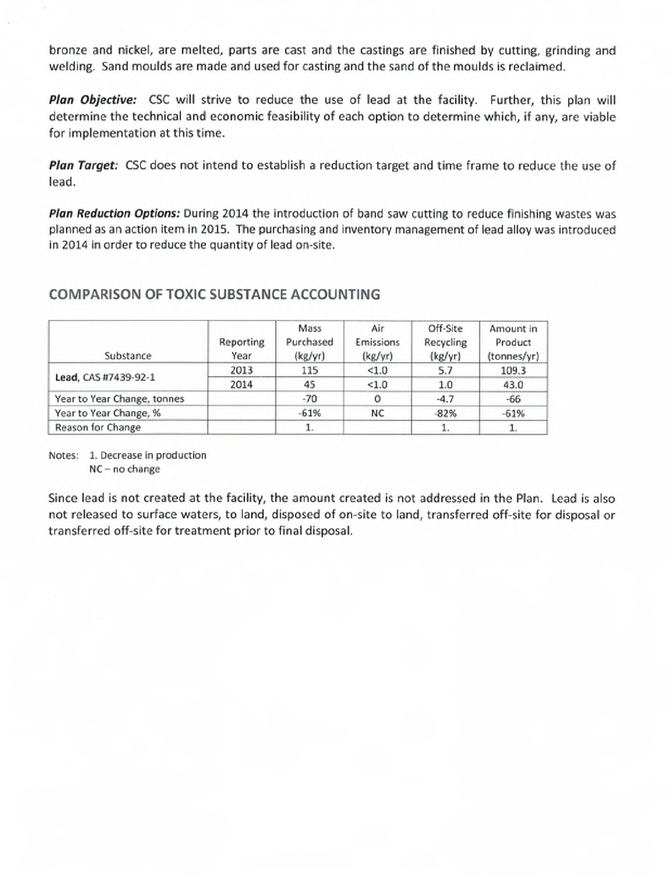**Plan Objective:** *CSC* will strive to reduce the use of lead at the facility. Further, this plan will determine the technical and economic feasibility of each option to determine which, if any, are viable for implementation at this time.

**Plan Target:** *CSC* does not intend to establish a reduction target and time frame to reduce the use of lead.

**Plan Reduction Options:** During *2014* the introduction of band saw cutting to reduce finishing wastes was planned as an action item in *2015.* The purchasing and inventory management of lead alloy was introduced in *2014* in order to reduce the quantity of lead on-site.

## **COMPARISON OF TOXIC SUBSTANCE ACCOUNTING**

| Substance                   | Reporting<br>Year | Mass<br>Purchased<br>(kg/yr) | Air<br>Emissions<br>(kg/yr) | Off-Site<br>Recycling<br>(kg/yr) | Amount in<br>Product<br>(tonnes/yr) |
|-----------------------------|-------------------|------------------------------|-----------------------------|----------------------------------|-------------------------------------|
| Lead, CAS #7439-92-1        | 2013              | 115                          | < 1.0                       | 5.7                              | 109.3                               |
|                             | 2014              | 45                           | < 1.0                       | 1.0                              | 43.0                                |
| Year to Year Change, tonnes |                   | $-70$                        | 0                           | $-4.7$                           | -66                                 |
| Year to Year Change, %      |                   | $-61%$                       | NC                          | $-82%$                           | $-61%$                              |
| Reason for Change           |                   | 1.                           |                             |                                  |                                     |

Notes: 1. Decrease in production NC - no change

Since lead is not created at the facility, the amount created is not addressed in the Plan. Lead is also not released to surface waters, to land, disposed of on-site to land, transferred off-site for disposal or transferred off-site for treatment prior to final disposal.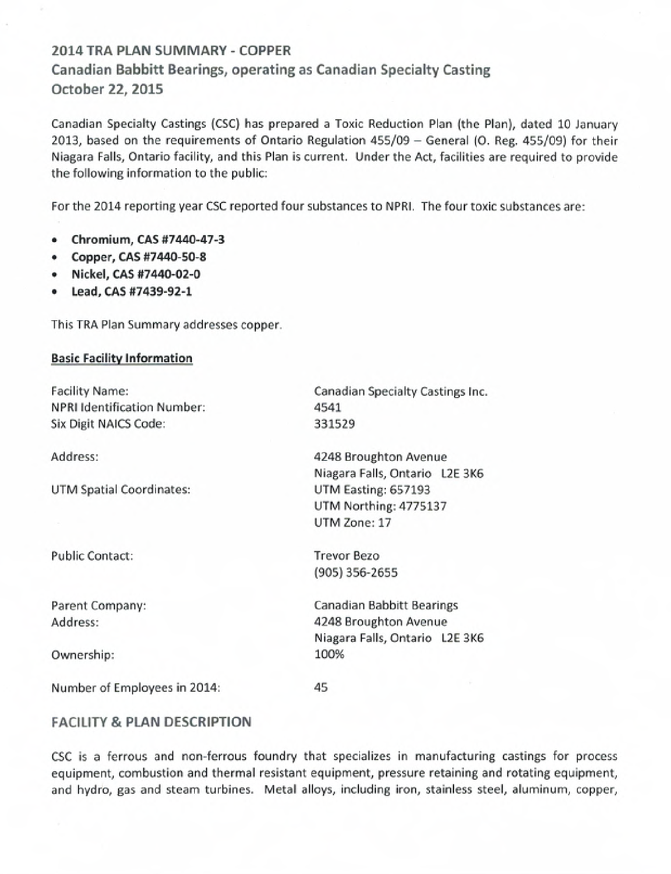# **2014 TRA PLAN SUMMARY - COPPER Canadian Babbitt Bearings, operating as Canadian Specialty Casting October 22, 2015**

Canadian Specialty Castings (CSC) has prepared a Toxic Reduction Plan (the Plan), dated 10 January 2013, based on the requirements of Ontario Regulation 455/09 - General (0. Reg. 455/09) for their Niagara Falls, Ontario facility, and this Plan is current. Under the Act, facilities are required to provide the following information to the public:

For the 2014 reporting year CSC reported four substances to NPRI. The four toxic substances are:

- **Chromium, CAS #7440-47-3**
- Copper, CAS #7440-50-8
- Nickel, **CAS #7440-02-0**
- **Lead, CAS #7439-92-1**

This TRA Plan Summary addresses copper.

#### **Basic Facility Information**

Facility Name: NPRI Identification Number: Six Digit NAICS Code: Address: UTM Spatial Coordinates: Public Contact: Parent Company: Address: Ownership: Canadian Specialty Castings Inc. 4541 331529 4248 Broughton Avenue Niagara Falls, Ontario L2E 3K6 UTM Easting: 657193 UTM Northing: 4775137 UTM Zone: 17 Trevor Bezo (905) 356-2655 Canadian Babbitt Bearings 4248 Broughton Avenue Niagara Falls, Ontario L2E 3K6 100% 45

### **FACILITY & PLAN DESCRIPTION**

Number of Employees in 2014:

CSC is a ferrous and non-ferrous foundry that specializes in manufacturing castings for process equipment, combustion and thermal resistant equipment, pressure retaining and rotating equipment, and hydro, gas and steam turbines. Metal alloys, including iron, stainless steel, aluminum, copper,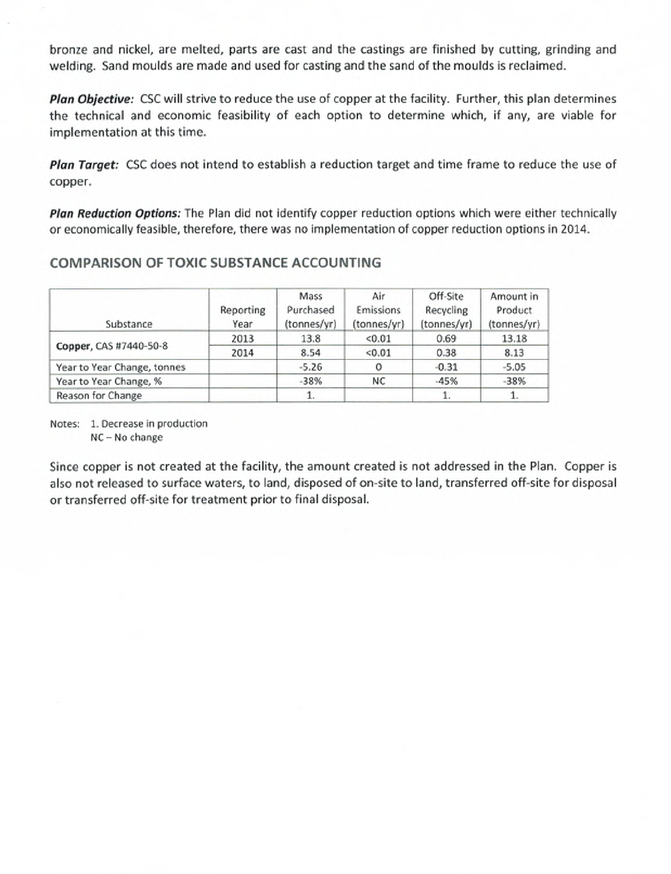Plan Objective: CSC will strive to reduce the use of copper at the facility. Further, this plan determines the technical and economic feasibility of each option to determine which, if any, are viable for implementation at this time.

**Plan Target:** CSC does not intend to establish a reduction target and time frame to reduce the use of copper.

Plan Reduction Options: The Plan did not identify copper reduction options which were either technically or economically feasible, therefore, there was no implementation of copper reduction options in 2014.

## COMPARISON OF TOXIC SUBSTANCE ACCOUNTING

| Substance                   | Reporting<br>Year | Mass<br>Purchased<br>(tonnes/yr) | Air<br>Emissions<br>(tonnes/yr) | Off-Site<br>Recycling<br>(tonnes/yr) | Amount in<br>Product<br>(tonnes/yr) |
|-----------------------------|-------------------|----------------------------------|---------------------------------|--------------------------------------|-------------------------------------|
| Copper, CAS #7440-50-8      | 2013              | 13.8                             | < 0.01                          | 0.69                                 | 13.18                               |
|                             | 2014              | 8.54                             | < 0.01                          | 0.38                                 | 8.13                                |
| Year to Year Change, tonnes |                   | $-5.26$                          |                                 | $-0.31$                              | $-5.05$                             |
| Year to Year Change, %      |                   | $-38%$                           | NC                              | $-45%$                               | $-38%$                              |
| Reason for Change           |                   |                                  |                                 |                                      |                                     |

Notes: 1. Decrease in production NC-No change

Since copper is not created at the facility, the amount created is not addressed in the Plan. Copper is also not released to surface waters, to land, disposed of on-site to land, transferred off-site for disposal or transferred off-site for treatment prior to final disposal.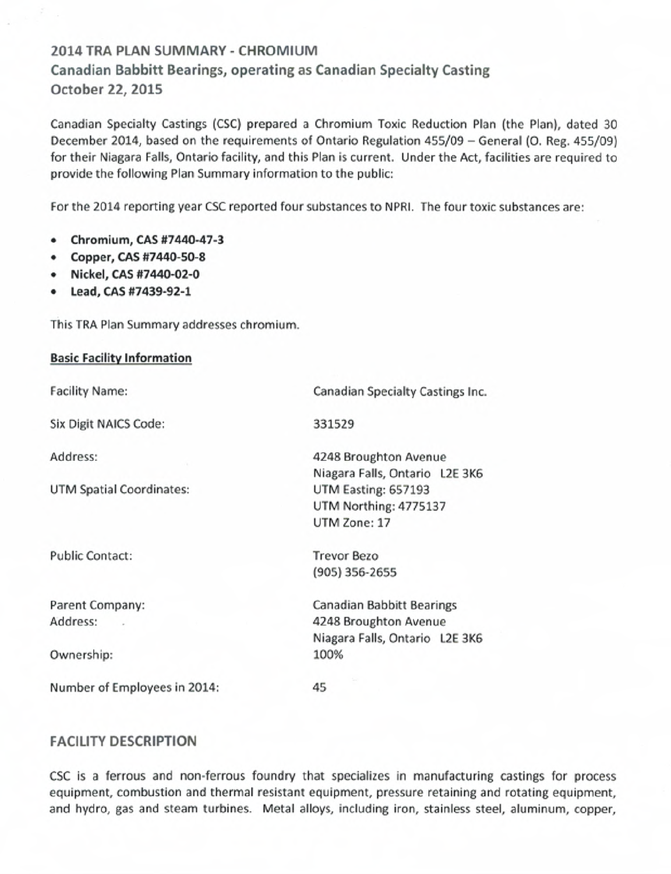# **2014 TRA PLAN SUMMARY - CHROMIUM Canadian Babbitt Bearings, operating as Canadian Specialty Casting October 22, 2015**

Canadian Specialty Castings (CSC) prepared a Chromium Toxic Reduction Plan (the Plan), dated 30 December 2014, based on the requirements of Ontario Regulation 455/09 - General (0. Reg. 455/09) for their Niagara Falls, Ontario facility, and this Plan is current. Under the Act, facilities are required to provide the following Plan Summary information to the public:

For the 2014 reporting year CSC reported four substances to NPRI. The four toxic substances are:

- **Chromium, CAS #7440-47-3**
- Copper, CAS #7440-50-8
- Nickel, **CAS #7440-02-0**
- **Lead, CAS #7439-92-1**

This TRA Plan Summary addresses chromium.

### **Basic Facility Information**

Facility Name:

Six Digit NAICS Code:

Address:

UTM Spatial Coordinates:

Public Contact:

Parent Company: Address:

Ownership:

Number of Employees in 2014:

Canadian Specialty Castings Inc.

331529

4248 Broughton Avenue Niagara Falls, Ontario L2E 3K6 UTM Easting: 657193 UTM Northing: 4775137 UTM Zone: 17

Trevor Bezo (905) 356-2655

Canadian Babbitt Bearings 4248 Broughton Avenue Niagara Falls, Ontario L2E 3K6 100%

45

## **FACILITY DESCRIPTION**

CSC is a ferrous and non-ferrous foundry that specializes in manufacturing castings for process equipment, combustion and thermal resistant equipment, pressure retaining and rotating equipment, and hydro, gas and steam turbines. Metal alloys, including iron, stainless steel, aluminum, copper,